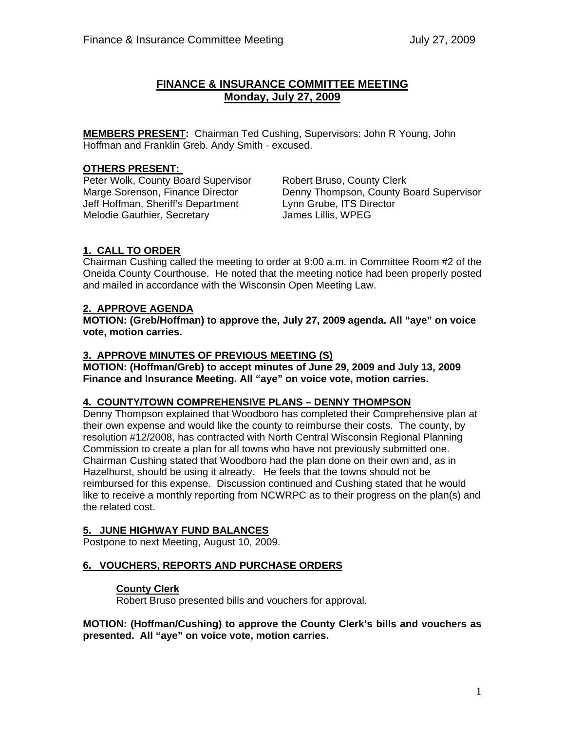## **FINANCE & INSURANCE COMMITTEE MEETING Monday, July 27, 2009**

**MEMBERS PRESENT:** Chairman Ted Cushing, Supervisors: John R Young, John Hoffman and Franklin Greb. Andy Smith - excused.

## **OTHERS PRESENT:**

Peter Wolk, County Board Supervisor Robert Bruso, County Clerk Jeff Hoffman, Sheriff's Department Lynn Grube, ITS Director Melodie Gauthier, Secretary **Fig. 10. Melodie Gauthier**, Secretary **James Lillis, WPEG** 

Marge Sorenson, Finance Director Denny Thompson, County Board Supervisor

## **1. CALL TO ORDER**

Chairman Cushing called the meeting to order at 9:00 a.m. in Committee Room #2 of the Oneida County Courthouse. He noted that the meeting notice had been properly posted and mailed in accordance with the Wisconsin Open Meeting Law.

## **2. APPROVE AGENDA**

**MOTION: (Greb/Hoffman) to approve the, July 27, 2009 agenda. All "aye" on voice vote, motion carries.** 

### **3. APPROVE MINUTES OF PREVIOUS MEETING (S)**

 **MOTION: (Hoffman/Greb) to accept minutes of June 29, 2009 and July 13, 2009 Finance and Insurance Meeting. All "aye" on voice vote, motion carries.** 

#### **4. COUNTY/TOWN COMPREHENSIVE PLANS – DENNY THOMPSON**

Denny Thompson explained that Woodboro has completed their Comprehensive plan at their own expense and would like the county to reimburse their costs. The county, by resolution #12/2008, has contracted with North Central Wisconsin Regional Planning Commission to create a plan for all towns who have not previously submitted one. Chairman Cushing stated that Woodboro had the plan done on their own and, as in Hazelhurst, should be using it already. He feels that the towns should not be reimbursed for this expense. Discussion continued and Cushing stated that he would like to receive a monthly reporting from NCWRPC as to their progress on the plan(s) and the related cost.

# **5. JUNE HIGHWAY FUND BALANCES**

Postpone to next Meeting, August 10, 2009.

## **6. VOUCHERS, REPORTS AND PURCHASE ORDERS**

## **County Clerk**

Robert Bruso presented bills and vouchers for approval.

**MOTION: (Hoffman/Cushing) to approve the County Clerk's bills and vouchers as presented. All "aye" on voice vote, motion carries.**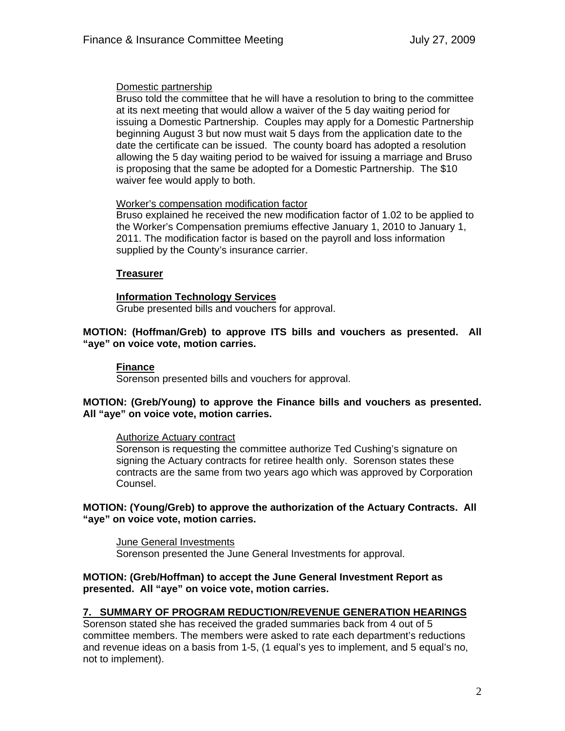### Domestic partnership

Bruso told the committee that he will have a resolution to bring to the committee at its next meeting that would allow a waiver of the 5 day waiting period for issuing a Domestic Partnership. Couples may apply for a Domestic Partnership beginning August 3 but now must wait 5 days from the application date to the date the certificate can be issued. The county board has adopted a resolution allowing the 5 day waiting period to be waived for issuing a marriage and Bruso is proposing that the same be adopted for a Domestic Partnership. The \$10 waiver fee would apply to both.

### Worker's compensation modification factor

Bruso explained he received the new modification factor of 1.02 to be applied to the Worker's Compensation premiums effective January 1, 2010 to January 1, 2011. The modification factor is based on the payroll and loss information supplied by the County's insurance carrier.

## **Treasurer**

## **Information Technology Services**

Grube presented bills and vouchers for approval.

### **MOTION: (Hoffman/Greb) to approve ITS bills and vouchers as presented. All "aye" on voice vote, motion carries.**

## **Finance**

Sorenson presented bills and vouchers for approval.

### **MOTION: (Greb/Young) to approve the Finance bills and vouchers as presented. All "aye" on voice vote, motion carries.**

#### Authorize Actuary contract

Sorenson is requesting the committee authorize Ted Cushing's signature on signing the Actuary contracts for retiree health only. Sorenson states these contracts are the same from two years ago which was approved by Corporation Counsel.

### **MOTION: (Young/Greb) to approve the authorization of the Actuary Contracts. All "aye" on voice vote, motion carries.**

June General Investments Sorenson presented the June General Investments for approval.

## **MOTION: (Greb/Hoffman) to accept the June General Investment Report as presented. All "aye" on voice vote, motion carries.**

## **7. SUMMARY OF PROGRAM REDUCTION/REVENUE GENERATION HEARINGS**

Sorenson stated she has received the graded summaries back from 4 out of 5 committee members. The members were asked to rate each department's reductions and revenue ideas on a basis from 1-5, (1 equal's yes to implement, and 5 equal's no, not to implement).